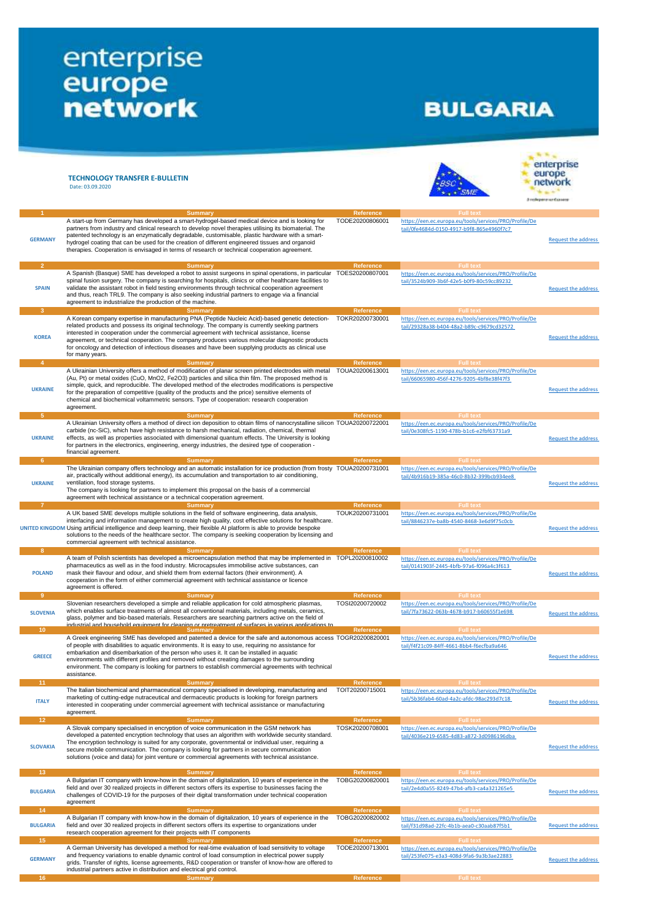## enterprise<br>
europe<br>
network

## **BULGARIA**

|                                    | <b>TECHNOLOGY TRANSFER E-BULLETIN</b><br>Date: 03.09.2020                                                                                                                                                                                                                                                                                                                                                                                                                                                                              |                              |                                                                                                                         | <b>N</b> <sub>N</sub><br>enterprise<br>europe<br><b>Engleperature Essays</b> |
|------------------------------------|----------------------------------------------------------------------------------------------------------------------------------------------------------------------------------------------------------------------------------------------------------------------------------------------------------------------------------------------------------------------------------------------------------------------------------------------------------------------------------------------------------------------------------------|------------------------------|-------------------------------------------------------------------------------------------------------------------------|------------------------------------------------------------------------------|
|                                    | <b>Summary</b>                                                                                                                                                                                                                                                                                                                                                                                                                                                                                                                         | Reference                    | <b>Full text</b>                                                                                                        |                                                                              |
| <b>GERMANY</b>                     | A start-up from Germany has developed a smart-hydrogel-based medical device and is looking for<br>partners from industry and clinical research to develop novel therapies utilising its biomaterial. The<br>patented technology is an enzymatically degradable, customisable, plastic hardware with a smart-<br>hydrogel coating that can be used for the creation of different engineered tissues and organoid<br>therapies. Cooperation is envisaged in terms of research or technical cooperation agreement.                        | TODE20200806001              | https://een.ec.europa.eu/tools/services/PRO/Profile/De<br>tail/0fe4684d-0150-4917-b9f8-865e4960f7c7                     | <b>Request the address</b>                                                   |
| -2                                 | <b>Summary</b>                                                                                                                                                                                                                                                                                                                                                                                                                                                                                                                         | <b>Reference</b>             | <b>Full text</b>                                                                                                        |                                                                              |
| <b>SPAIN</b>                       | A Spanish (Basque) SME has developed a robot to assist surgeons in spinal operations, in particular TOES20200807001<br>spinal fusion surgery. The company is searching for hospitals, clinics or other healthcare facilities to<br>validate the assistant robot in field testing environments through technical cooperation agreement<br>and thus, reach TRL9. The company is also seeking industrial partners to engage via a financial<br>agreement to industrialize the production of the machine.                                  |                              | https://een.ec.europa.eu/tools/services/PRO/Profile/De<br>tail/3524b909-3b6f-42e5-b0f9-80c59cc89232                     | <b>Request the address</b>                                                   |
| $\mathbf{3}$                       | <b>Summary</b>                                                                                                                                                                                                                                                                                                                                                                                                                                                                                                                         | Reference                    | <b>Full text</b>                                                                                                        |                                                                              |
| <b>KOREA</b>                       | A Korean company expertise in manufacturing PNA (Peptide Nucleic Acid)-based genetic detection-<br>related products and possess its original technology. The company is currently seeking partners<br>interested in cooperation under the commercial agreement with technical assistance, license<br>agreement, or technical cooperation. The company produces various molecular diagnostic products<br>for oncology and detection of infectious diseases and have been supplying products as clinical use<br>for many years.          | TOKR20200730001              | https://een.ec.europa.eu/tools/services/PRO/Profile/De<br>tail/29328a38-b404-48a2-b89c-c9679cd32572                     | <b>Request the address</b>                                                   |
| $\Delta$                           | <b>Summary</b>                                                                                                                                                                                                                                                                                                                                                                                                                                                                                                                         | Reference                    | <b>Full text</b>                                                                                                        |                                                                              |
| <b>UKRAINE</b>                     | A Ukrainian University offers a method of modification of planar screen printed electrodes with metal<br>(Au, Pt) or metal oxides (CuO, MnO2, Fe2O3) particles and silica thin film. The proposed method is<br>simple, quick, and reproducible. The developed method of the electrodes modifications is perspective<br>for the preparation of competitive (quality of the products and the price) sensitive elements of<br>chemical and biochemical voltammetric sensors. Type of cooperation: research cooperation<br>agreement.      | TOUA20200613001              | https://een.ec.europa.eu/tools/services/PRO/Profile/De<br>tail/66065980-456f-4276-9205-4bf8e38f47f3                     | <b>Request the address</b>                                                   |
| 5                                  | <b>Summary</b>                                                                                                                                                                                                                                                                                                                                                                                                                                                                                                                         | Reference                    | <b>Full text</b>                                                                                                        |                                                                              |
| <b>UKRAINE</b>                     | A Ukrainian University offers a method of direct ion deposition to obtain films of nanocrystalline silicon TOUA20200722001<br>carbide (nc-SiC), which have high resistance to harsh mechanical, radiation, chemical, thermal<br>effects, as well as properties associated with dimensional quantum effects. The University is looking<br>for partners in the electronics, engineering, energy industries, the desired type of cooperation -<br>financial agreement.                                                                    |                              | https://een.ec.europa.eu/tools/services/PRO/Profile/De<br>tail/0e308fc5-1190-478b-b1c6-e2fbf63731a9                     | <b>Request the address</b>                                                   |
| 6                                  | <b>Summary</b>                                                                                                                                                                                                                                                                                                                                                                                                                                                                                                                         | Reference                    | <b>Full text</b>                                                                                                        |                                                                              |
| <b>UKRAINE</b>                     | The Ukrainian company offers technology and an automatic installation for ice production (from frosty TOUA20200731001<br>air, practically without additional energy), its accumulation and transportation to air conditioning,<br>ventilation, food storage systems.<br>The company is looking for partners to implement this proposal on the basis of a commercial<br>agreement with technical assistance or a technical cooperation agreement.                                                                                       |                              | https://een.ec.europa.eu/tools/services/PRO/Profile/De<br>tail/4b916b19-385a-46c0-8b32-399bcb934ee8                     | <b>Request the address</b>                                                   |
| -7                                 | <b>Summary</b>                                                                                                                                                                                                                                                                                                                                                                                                                                                                                                                         | Reference                    | <b>Full text</b>                                                                                                        |                                                                              |
|                                    | A UK based SME develops multiple solutions in the field of software engineering, data analysis,<br>interfacing and information management to create high quality, cost effective solutions for healthcare.<br>UNITED KINGDOM Using artificial intelligence and deep learning, their flexible AI platform is able to provide bespoke<br>solutions to the needs of the healthcare sector. The company is seeking cooperation by licensing and<br>commercial agreement with technical assistance.                                         | TOUK20200731001              | https://een.ec.europa.eu/tools/services/PRO/Profile/De<br>tail/8846237e-ba8b-4540-8468-3e6d9f75c0cb                     | <b>Request the address</b>                                                   |
| -8                                 | <b>Summary</b>                                                                                                                                                                                                                                                                                                                                                                                                                                                                                                                         | Reference                    | <b>Full text</b>                                                                                                        |                                                                              |
| <b>POLAND</b>                      | A team of Polish scientists has developed a microencapsulation method that may be implemented in TOPL20200810002<br>pharmaceutics as well as in the food industry. Microcapsules immobilise active substances, can<br>mask their flavour and odour, and shield them from external factors (their environment). A<br>cooperation in the form of either commercial agreement with technical assistance or licence<br>agreement is offered.                                                                                               |                              | https://een.ec.europa.eu/tools/services/PRO/Profile/De<br>tail/0141903f-2445-4bfb-97a6-f096a4c3f613                     | <b>Request the address</b>                                                   |
| -9                                 | <b>Summary</b>                                                                                                                                                                                                                                                                                                                                                                                                                                                                                                                         | Reference                    | <b>Full text</b>                                                                                                        |                                                                              |
| <b>SLOVENIA</b>                    | Slovenian researchers developed a simple and reliable application for cold atmospheric plasmas,<br>which enables surface treatments of almost all conventional materials, including metals, ceramics,<br>glass, polymer and bio-based materials. Researchers are searching partners active on the field of<br>industrial and household equipment for cleaning or pretreatment of surfaces in various applications to                                                                                                                   | TOSI20200720002              | https://een.ec.europa.eu/tools/services/PRO/Profile/De<br>tail/7fa73622-063b-4678-b917-b60655f1e698                     | <b>Request the address</b>                                                   |
| 10 <sup>°</sup>                    | <b>Summary</b>                                                                                                                                                                                                                                                                                                                                                                                                                                                                                                                         | Reference                    | <b>Full text</b>                                                                                                        |                                                                              |
| <b>GREECE</b>                      | A Greek engineering SME has developed and patented a device for the safe and autonomous access TOGR20200820001<br>of people with disabilities to aquatic environments. It is easy to use, requiring no assistance for<br>embarkation and disembarkation of the person who uses it. It can be installed in aquatic<br>environments with different profiles and removed without creating damages to the surrounding<br>environment. The company is looking for partners to establish commercial agreements with technical<br>assistance. |                              | https://een.ec.europa.eu/tools/services/PRO/Profile/De<br>tail/f4f21c09-84ff-4661-8bb4-f6ecfba9a646                     | <b>Request the address</b>                                                   |
| 11 <sub>1</sub>                    | <b>Summary</b>                                                                                                                                                                                                                                                                                                                                                                                                                                                                                                                         | Reference                    | <b>Full text</b>                                                                                                        |                                                                              |
| <b>ITALY</b>                       | The Italian biochemical and pharmaceutical company specialised in developing, manufacturing and<br>marketing of cutting-edge nutraceutical and dermaceutic products is looking for foreign partners<br>interested in cooperating under commercial agreement with technical assistance or manufacturing<br>agreement.                                                                                                                                                                                                                   | TOIT20200715001              | https://een.ec.europa.eu/tools/services/PRO/Profile/De<br>tail/5b36fab4-60ad-4a2c-afdc-98ac293d7c18                     | <b>Request the address</b>                                                   |
| 12 <sub>2</sub>                    | <b>Summary</b>                                                                                                                                                                                                                                                                                                                                                                                                                                                                                                                         | Reference                    | <b>Full text</b>                                                                                                        |                                                                              |
| <b>SLOVAKIA</b>                    | A Slovak company specialised in encryption of voice communication in the GSM network has<br>developed a patented encryption technology that uses an algorithm with worldwide security standard.<br>The encryption technology is suited for any corporate, governmental or individual user, requiring a<br>secure mobile communication. The company is looking for partners in secure communication<br>solutions (voice and data) for joint venture or commercial agreements with technical assistance.                                 | TOSK20200708001              | https://een.ec.europa.eu/tools/services/PRO/Profile/De<br>tail/4036e219-6585-4d83-a872-3d0986196dba                     | <b>Request the address</b>                                                   |
| 13 <sub>1</sub>                    | <b>Summary</b>                                                                                                                                                                                                                                                                                                                                                                                                                                                                                                                         | Reference                    | <b>Full text</b>                                                                                                        |                                                                              |
| <b>BULGARIA</b>                    | A Bulgarian IT company with know-how in the domain of digitalization, 10 years of experience in the<br>field and over 30 realized projects in different sectors offers its expertise to businesses facing the<br>challenges of COVID-19 for the purposes of their digital transformation under technical cooperation<br>agreement                                                                                                                                                                                                      | TOBG20200820001              | https://een.ec.europa.eu/tools/services/PRO/Profile/De<br>tail/2e4d0a55-8249-47b4-afb3-ca4a321265e5                     | <b>Request the address</b>                                                   |
| 14                                 | Summary                                                                                                                                                                                                                                                                                                                                                                                                                                                                                                                                | Reference                    | <b>Full text</b>                                                                                                        |                                                                              |
| <b>BULGARIA</b><br>15 <sub>1</sub> | A Bulgarian IT company with know-how in the domain of digitalization, 10 years of experience in the<br>field and over 30 realized projects in different sectors offers its expertise to organizations under<br>research cooperation agreement for their projects with IT components<br><b>Summary</b>                                                                                                                                                                                                                                  | TOBG20200820002<br>Reference | https://een.ec.europa.eu/tools/services/PRO/Profile/De<br>tail/f31d98ad-22fc-4b1b-aea0-c30aab87f5b1<br><b>Full text</b> | <b>Request the address</b>                                                   |
|                                    | A German University has developed a method for real-time evaluation of load sensitivity to voltage                                                                                                                                                                                                                                                                                                                                                                                                                                     | TODE20200713001              | https://een.ec.europa.eu/tools/services/PRO/Profile/De                                                                  |                                                                              |
| <b>GERMANY</b>                     | and frequency variations to enable dynamic control of load consumption in electrical power supply<br>grids. Transfer of rights, license agreements, R&D cooperation or transfer of know-how are offered to<br>industrial partners active in distribution and electrical grid control.                                                                                                                                                                                                                                                  |                              | tail/253fe075-e3a3-408d-9fa6-9a3b3ae22883                                                                               | <b>Request the address</b>                                                   |
| 16 <sup>2</sup>                    | <b>Summary</b>                                                                                                                                                                                                                                                                                                                                                                                                                                                                                                                         | Reference                    | <b>Full text</b>                                                                                                        |                                                                              |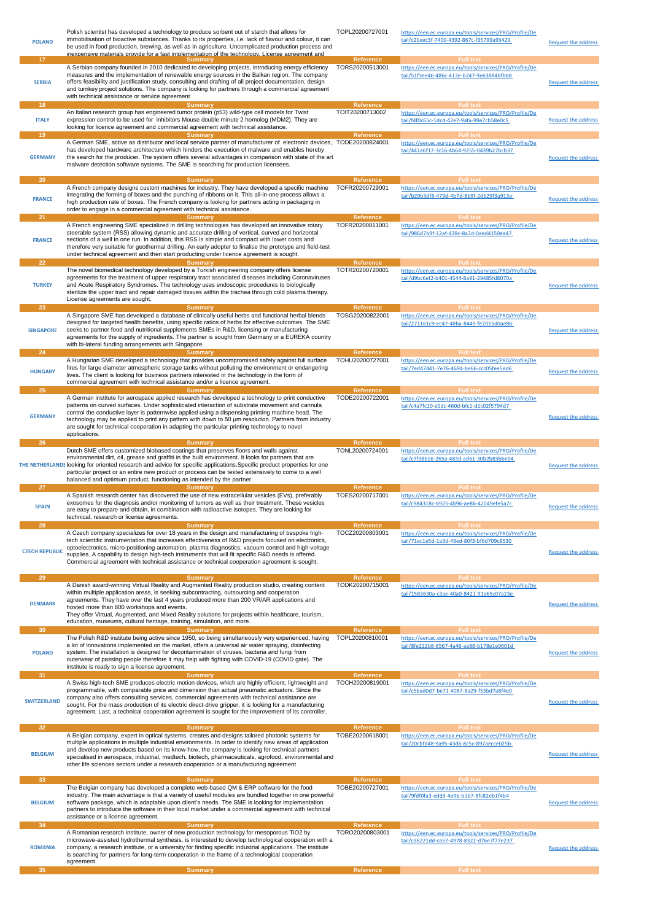| <b>POLAND</b>          | Polish scientist has developed a technology to produce sorbent out of starch that allows for<br>immobilisation of bioactive substances. Thanks to its properties, i.e. lack of flavour and colour, it can<br>be used in food production, brewing, as well as in agriculture. Uncomplicated production process and<br>inexpensive materials provide for a fast implementation of the technology. License agreement and                                                                                                            | TOPL20200727001                     | https://een.ec.europa.eu/tools/services/PRO/Profile/De<br>tail/c21eec3f-7400-4392-867c-f35799a93429                                         | <b>Request the address</b> |
|------------------------|----------------------------------------------------------------------------------------------------------------------------------------------------------------------------------------------------------------------------------------------------------------------------------------------------------------------------------------------------------------------------------------------------------------------------------------------------------------------------------------------------------------------------------|-------------------------------------|---------------------------------------------------------------------------------------------------------------------------------------------|----------------------------|
| 17<br><b>SERBIA</b>    | Summary<br>A Serbian company founded in 2010 dedicated to developing projects, introducing energy efficiency<br>measures and the implementation of renewable energy sources in the Balkan region. The company<br>offers feasibility and justification study, consulting and drafting of all project documentation, design<br>and turnkey project solutions. The company is looking for partners through a commercial agreement<br>with technical assistance or service agreement                                                 | Reference<br>TORS20200513001        | <b>Full text</b><br>https://een.ec.europa.eu/tools/services/PRO/Profile/De<br>tail/51f3ee46-486c-413e-b247-9e638846fbb8                     | <b>Request the address</b> |
| 18                     | <b>Summary</b>                                                                                                                                                                                                                                                                                                                                                                                                                                                                                                                   | <b>Reference</b>                    | <b>Full text</b>                                                                                                                            |                            |
| <b>ITALY</b>           | An Italian research group has engineered tumor protein (p53) wild-type cell models for Twist<br>expression control to be used for inhibitors Mouse double minute 2 homolog (MDM2). They are<br>looking for licence agreement and commercial agreement with technical assistance.                                                                                                                                                                                                                                                 | TOIT20200713002                     | https://een.ec.europa.eu/tools/services/PRO/Profile/De<br>tail/f4f0c65c-1dcd-42e7-9afa-99e7cb58e0c5                                         | Request the address        |
| 19                     | <b>Summary</b>                                                                                                                                                                                                                                                                                                                                                                                                                                                                                                                   | Reference                           | <b>Full text</b>                                                                                                                            |                            |
| <b>GERMANY</b>         | A German SME, active as distributor and local service partner of manufacturer of electronic devices, TODE20200824001<br>has developed hardware architecture which hinders the execution of malware and enables hereby<br>the search for the producer. The system offers several advantages in comparison with state of the art<br>malware detection software systems. The SME is searching for production licensees.                                                                                                             |                                     | https://een.ec.europa.eu/tools/services/PRO/Profile/De<br>tail/441a6f17-3c16-4b64-9255-0439b27bcb37                                         | <b>Request the address</b> |
| 20<br><b>FRANCE</b>    | <b>Summary</b><br>A French company designs custom machines for industry. They have developed a specific machine<br>integrating the forming of boxes and the punching of ribbons on it. This all-in-one process allows a<br>high production rate of boxes. The French company is looking for partners acting in packaging in<br>order to engage in a commercial agreement with technical assistance.                                                                                                                              | Reference<br>TOFR20200729001        | <b>Full text</b><br>https://een.ec.europa.eu/tools/services/PRO/Profile/De<br>tail/b29b3df8-479d-4b7d-8b9f-2db29f3a913e<br><b>Full text</b> | <b>Request the address</b> |
| 21<br><b>FRANCE</b>    | Summary<br>A French engineering SME specialized in drilling technologies has developed an innovative rotary<br>steerable system (RSS) allowing dynamic and accurate drilling of vertical, curved and horizontal<br>sections of a well in one run. In addition, this RSS is simple and compact with lower costs and<br>therefore very suitable for geothermal drilling. An early adopter to finalise the prototype and field-test<br>under technical agreement and then start producting under licence agreement is sought.       | Reference<br>TOFR20200811001        | https://een.ec.europa.eu/tools/services/PRO/Profile/De<br>tail/986d7b9f-12af-438c-8a2d-0aed4150ea47                                         | <b>Request the address</b> |
| 22<br><b>TURKEY</b>    | <b>Summary</b><br>The novel biomedical technology developed by a Turkish engineering company offers license<br>agreements for the treatment of upper respiratory tract associated diseases including Coronaviruses<br>and Acute Respiratory Syndromes. The technology uses endoscopic procedures to biologically<br>sterilize the upper tract and repair damaged tissues within the trachea through cold plasma therapy.<br>License agreements are sought.                                                                       | Reference<br>TOTR20200720001        | <b>Full text</b><br>https://een.ec.europa.eu/tools/services/PRO/Profile/De<br>tail/d9bc6ef2-b401-4544-8a91-29485fd8070a                     | <b>Request the address</b> |
| 23<br><b>SINGAPORE</b> | <b>Summary</b><br>A Singapore SME has developed a database of clinically useful herbs and functional herbal blends<br>designed for targeted health benefits, using specific ratios of herbs for effective outcomes. The SME<br>seeks to partner food and nutritional supplements SMEs in R&D, licensing or manufacturing<br>agreements for the supply of ingredients. The partner is sought from Germany or a EUREKA country<br>with bi-lateral funding arrangements with Singapore.                                             | Reference<br>TOSG20200822001        | <b>Full text</b><br>https://een.ec.europa.eu/tools/services/PRO/Profile/De<br>tail/271161c9-ec47-48ba-8449-fe2015d0ae86                     | <b>Request the address</b> |
| 24                     | <b>Summary</b><br>A Hungarian SME developed a technology that provides uncompromised safety against full surface                                                                                                                                                                                                                                                                                                                                                                                                                 | <b>Reference</b><br>TOHU20200727001 | <b>Full text</b><br>https://een.ec.europa.eu/tools/services/PRO/Profile/De                                                                  |                            |
| <b>HUNGARY</b>         | fires for large diameter atmospheric storage tanks without polluting the environment or endangering<br>lives. The client is looking for business partners interested in the technology in the form of<br>commercial agreement with technical assistance and/or a licence agreement.                                                                                                                                                                                                                                              |                                     | tail/7ed47441-7e76-4694-be66-ccc05fee5ed6                                                                                                   | <b>Request the address</b> |
| 25                     | <b>Summary</b>                                                                                                                                                                                                                                                                                                                                                                                                                                                                                                                   | Reference                           | <b>Full text</b>                                                                                                                            |                            |
| <b>GERMANY</b>         | A German institute for aerospace applied research has developed a technology to print conductive<br>patterns on curved surfaces. Under sophisticated interaction of substrate movement and cannula<br>control the conductive layer is patternwise applied using a dispensing printing machine head. The<br>technology may be applied to print any pattern with down to 50 µm resolution. Partners from industry<br>are sought for technical cooperation in adapting the particular printing technology to novel<br>applications. | TODE20200722001                     | https://een.ec.europa.eu/tools/services/PRO/Profile/De<br>tail/c4a7fc10-e0dc-460d-bfc1-d1c02f5794d7                                         | <b>Request the address</b> |
| 26                     | <b>Summary</b>                                                                                                                                                                                                                                                                                                                                                                                                                                                                                                                   | Reference<br>TONL20200724001        | <b>Full text</b><br>https://een.ec.europa.eu/tools/services/PRO/Profile/De                                                                  |                            |
|                        |                                                                                                                                                                                                                                                                                                                                                                                                                                                                                                                                  |                                     |                                                                                                                                             |                            |
|                        | Dutch SME offers customized biobased coatings that preserves floors and walls against<br>environmental dirt, oil, grease and graffiti in the built environment. It looks for partners that are<br>THE NETHERLANDS looking for oriented research and advice for specific applications. Specific product properties for one<br>particular project or an entire new product or process can be tested extensively to come to a well<br>balanced and optimum product, functioning as intended by the partner.                         |                                     | tail/c7f38b16-265a-483d-ad61-30b2b83bbe04                                                                                                   | <b>Request the address</b> |
| 27<br><b>SPAIN</b>     | Summary<br>A Spanish research center has discovered the use of new extracellular vesicles (EVs), preferably<br>exosomes for the diagnosis and/or monitoring of tumors as well as their treatment. These vesicles<br>are easy to prepare and obtain, in combination with radioactive isotopes. They are looking for<br>technical, research or license agreements.                                                                                                                                                                 | Reference<br>TOES20200717001        | <b>Full text</b><br>https://een.ec.europa.eu/tools/services/PRO/Profile/De<br>tail/c984318c-b925-4b96-ae8b-42049efe5a7c                     | <b>Request the address</b> |
| 28                     | <b>Summary</b>                                                                                                                                                                                                                                                                                                                                                                                                                                                                                                                   | Reference                           | <b>Full text</b>                                                                                                                            |                            |
| <b>CZECH REPUBLIC</b>  | A Czech company specializes for over 18 years in the design and manufacturing of bespoke high-<br>tech scientific instrumentation that increases effectiveness of R&D projects focused on electronics,<br>optoelectronics, micro-positioning automation, plasma diagnostics, vacuum control and high-voltage<br>supplies. A capability to design high-tech instruments that will fit specific R&D needs is offered.<br>Commercial agreement with technical assistance or technical cooperation agreement is sought.              | TOCZ20200803001                     | https://een.ec.europa.eu/tools/services/PRO/Profile/De<br>tail/71ec1e5d-1a3d-49ed-80f3-bf6d709c8530                                         | <b>Request the address</b> |
| 29                     | <b>Summary</b>                                                                                                                                                                                                                                                                                                                                                                                                                                                                                                                   | Reference                           | <b>Full text</b>                                                                                                                            |                            |
| <b>DENMARK</b>         | A Danish award-winning Virtual Reality and Augmented Reality production studio, creating content<br>within multiple application areas, is seeking subcontracting, outsourcing and cooperation<br>agreements. They have over the last 4 years produced more than 200 VR/AR applications and<br>hosted more than 800 workshops and events.<br>They offer Virtual, Augmented, and Mixed Reality solutions for projects within healthcare, tourism,<br>education, museums, cultural heritage, training, simulation, and more.        | TODK20200715001                     | https://een.ec.europa.eu/tools/services/PRO/Profile/De<br>tail/1583630a-c3ae-40a0-8421-91a65c07a23e                                         | <b>Request the address</b> |
| 30                     | <b>Summary</b><br>The Polish R&D institute being active since 1950, so being simultaneously very experienced, having                                                                                                                                                                                                                                                                                                                                                                                                             | <b>Reference</b><br>TOPL20200810001 | <b>Full text</b>                                                                                                                            |                            |
| <b>POLAND</b>          | a lot of innovations implemented on the market, offers a universal air water spraying, disinfecting<br>system. The installation is designed for decontamination of viruses, bacteria and fungi from<br>outerwear of passing people therefore it may help with fighting with COVID-19 (COVID gate). The<br>institute is ready to sign a license agreement.                                                                                                                                                                        |                                     | https://een.ec.europa.eu/tools/services/PRO/Profile/De<br>tail/8fe222b8-6567-4a46-ae88-b178e1e9601d                                         | <b>Request the address</b> |
| 31                     | <b>Summary</b>                                                                                                                                                                                                                                                                                                                                                                                                                                                                                                                   | Reference                           | <b>Full text</b>                                                                                                                            |                            |
| <b>SWITZERLAND</b>     | A Swiss high-tech SME produces electric motion devices, which are highly efficient, lightweight and<br>programmable, with comparable price and dimension than actual pneumatic actuators. Since the<br>company also offers consulting services, commercial agreements with technical assistance are<br>sought. For the mass production of its electric direct-drive gripper, it is looking for a manufacturing<br>agreement. Last, a technical cooperation agreement is sought for the improvement of its controller.            | TOCH20200819001                     | https://een.ec.europa.eu/tools/services/PRO/Profile/De<br>tail/c5bad0d7-be71-4087-8a29-f53bd7a8f4e0                                         | <b>Request the address</b> |
| 32                     | <b>Summary</b>                                                                                                                                                                                                                                                                                                                                                                                                                                                                                                                   | Reference                           | <b>Full text</b>                                                                                                                            |                            |
| <b>BELGIUM</b>         | A Belgian company, expert in optical systems, creates and designs tailored photonic systems for<br>multiple applications in multiple industrial environments. In order to identify new areas of application<br>and develop new products based on its know-how, the company is looking for technical partners<br>specialised in aerospace, industrial, medtech, biotech, pharmaceuticals, agrofood, environmental and<br>other life sciences sectors under a research cooperation or a manufacturing agreement                    | TOBE20200618001                     | https://een.ec.europa.eu/tools/services/PRO/Profile/De<br>tail/20cbfd48-9a95-43d6-8c5c-897aecce025b                                         | <b>Request the address</b> |
| 33                     | <b>Summary</b>                                                                                                                                                                                                                                                                                                                                                                                                                                                                                                                   | Reference                           | Full text                                                                                                                                   |                            |
| <b>BELGIUM</b>         | The Belgian company has developed a complete web-based QM & ERP software for the food<br>industry. The main advantage is that a variety of useful modules are bundled together in one powerful<br>software package, which is adaptable upon client's needs. The SME is looking for implementation<br>partners to introduce the software in their local market under a commercial agreement with technical<br>assistance or a license agreement.                                                                                  | TOBE20200727001                     | https://een.ec.europa.eu/tools/services/PRO/Profile/De<br>tail/9fdf0fa3-edd3-4e9b-b1b7-8fc82eb1f4b4                                         | <b>Request the address</b> |
| 34<br><b>ROMANIA</b>   | <b>Summary</b><br>A Romanian research institute, owner of new production technology for mesoporous TiO2 by<br>microwave-assisted hydrothermal synthesis, is interested to develop technological cooperation with a<br>company, a research institute, or a university for finding specific industrial applications. The institute<br>is searching for partners for long-term cooperation in the frame of a technological cooperation                                                                                              | Reference<br>TORO20200803001        | <b>Full text</b><br>https://een.ec.europa.eu/tools/services/PRO/Profile/De<br>tail/cd6221dd-ca57-4978-8322-d76e7f77e237                     | <b>Request the address</b> |
| 35                     | agreement.<br><b>Summary</b>                                                                                                                                                                                                                                                                                                                                                                                                                                                                                                     | Reference                           | <b>Full text</b>                                                                                                                            |                            |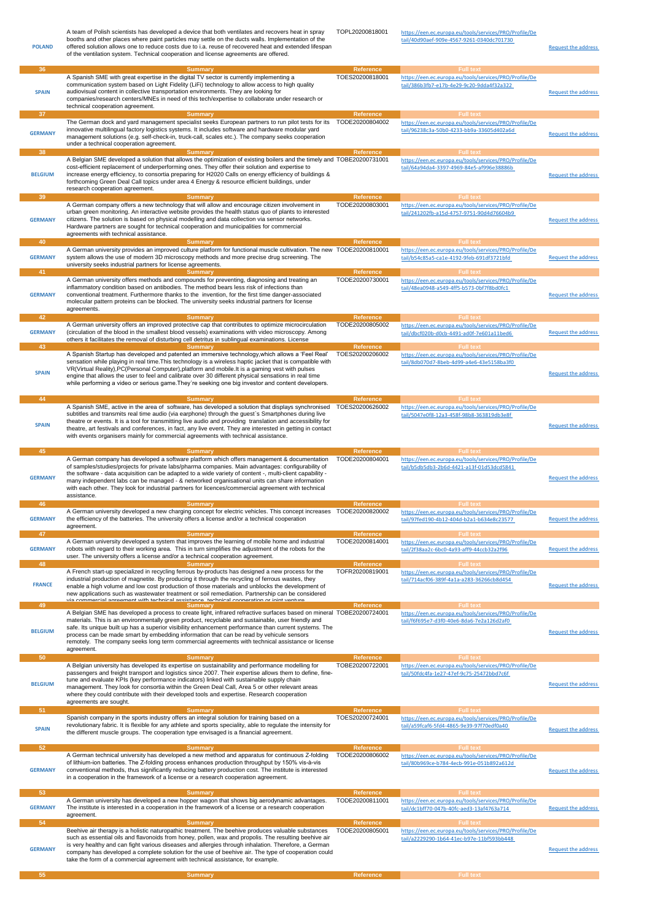| <b>POLAND</b>        | A team of Polish scientists has developed a device that both ventilates and recovers heat in spray<br>booths and other places where paint particles may settle on the ducts walls. Implementation of the<br>offered solution allows one to reduce costs due to i.a. reuse of recovered heat and extended lifespan<br>of the ventilation system. Technical cooperation and license agreements are offered.                                                                                                                                                          | TOPL20200818001              | https://een.ec.europa.eu/tools/services/PRO/Profile/De<br>tail/40d90aef-909e-4567-9261-0340dc701730<br><b>Full text</b> | Request the address        |
|----------------------|--------------------------------------------------------------------------------------------------------------------------------------------------------------------------------------------------------------------------------------------------------------------------------------------------------------------------------------------------------------------------------------------------------------------------------------------------------------------------------------------------------------------------------------------------------------------|------------------------------|-------------------------------------------------------------------------------------------------------------------------|----------------------------|
| 36<br><b>SPAIN</b>   | <b>Summary</b><br>A Spanish SME with great expertise in the digital TV sector is currently implementing a<br>communication system based on Light Fidelity (LiFi) technology to allow access to high quality<br>audiovisual content in collective transportation environments. They are looking for<br>companies/research centers/MNEs in need of this tech/expertise to collaborate under research or<br>technical cooperation agreement.                                                                                                                          | Reference<br>TOES20200818001 | https://een.ec.europa.eu/tools/services/PRO/Profile/De<br>tail/386b3fb7-e17b-4e29-9c20-9dda4f32a322                     | <b>Request the address</b> |
| 37<br><b>GERMANY</b> | <b>Summary</b><br>The German dock and yard management specialist seeks European partners to run pilot tests for its<br>innovative multilingual factory logistics systems. It includes software and hardware modular yard<br>management solutions (e.g. self-check-in, truck-call, scales etc.). The company seeks cooperation<br>under a technical cooperation agreement.                                                                                                                                                                                          | Reference<br>TODE20200804002 | <b>Full text</b><br>https://een.ec.europa.eu/tools/services/PRO/Profile/De<br>tail/96238c3a-50b0-4233-bb9a-33605d402a6d | <b>Request the address</b> |
| 38                   | <b>Summary</b><br>A Belgian SME developed a solution that allows the optimization of existing boilers and the timely and TOBE20200731001                                                                                                                                                                                                                                                                                                                                                                                                                           | <b>Reference</b>             | <b>Full text</b><br>https://een.ec.europa.eu/tools/services/PRO/Profile/De                                              |                            |
| <b>BELGIUM</b><br>39 | cost-efficient replacement of underperforming ones. They offer their solution and expertise to<br>increase energy efficiency, to consortia preparing for H2020 Calls on energy efficiency of buildings &<br>forthcoming Green Deal Call topics under area 4 Energy & resource efficient buildings, under<br>research cooperation agreement.<br><b>Summary</b>                                                                                                                                                                                                      | Reference                    | tail/64a94da4-3397-4969-84e5-af996e38886b<br><b>Full text</b>                                                           | <b>Request the address</b> |
| <b>GERMANY</b>       | A German company offers a new technology that will allow and encourage citizen involvement in<br>urban green monitoring. An interactive website provides the health status quo of plants to interested<br>citizens. The solution is based on physical modelling and data collection via sensor networks.<br>Hardware partners are sought for technical cooperation and municipalities for commercial<br>agreements with technical assistance.                                                                                                                      | TODE20200803001              | https://een.ec.europa.eu/tools/services/PRO/Profile/De<br>tail/241202fb-a15d-4757-9751-90d4d76604b9                     | <b>Request the address</b> |
| 40<br><b>GERMANY</b> | <b>Summary</b><br>A German university provides an improved culture platform for functional muscle cultivation. The new TODE20200810001<br>system allows the use of modern 3D microscopy methods and more precise drug screening. The<br>university seeks industrial partners for license agreements.                                                                                                                                                                                                                                                               | Reference                    | <b>Full text</b><br>https://een.ec.europa.eu/tools/services/PRO/Profile/De<br>tail/b54c85a5-ca1e-4192-9feb-691df3721bfd | <b>Request the address</b> |
| 41<br><b>GERMANY</b> | <b>Summary</b><br>A German university offers methods and compounds for preventing, diagnosing and treating an<br>inflammatory condition based on antibodies. The method bears less risk of infections than<br>conventional treatment. Furthermore thanks to the invention, for the first time danger-associated<br>molecular pattern proteins can be blocked. The university seeks industrial partners for license<br>agreements.                                                                                                                                  | Reference<br>TODE20200730001 | <b>Full text</b><br>https://een.ec.europa.eu/tools/services/PRO/Profile/De<br>tail/48ea0948-a549-4ff5-b573-0bf7f8bd0fc1 | <b>Request the address</b> |
| 42                   | <b>Summary</b><br>A German university offers an improved protective cap that contributes to optimize microcirculation                                                                                                                                                                                                                                                                                                                                                                                                                                              | Reference<br>TODE20200805002 | <b>Full text</b>                                                                                                        |                            |
| <b>GERMANY</b><br>43 | (circulation of the blood in the smallest blood vessels) examinations with video microscopy. Among<br>others it facilitates the removal of disturbing cell detritus in sublingual examinations. License<br><b>Summary</b>                                                                                                                                                                                                                                                                                                                                          | Reference                    | https://een.ec.europa.eu/tools/services/PRO/Profile/De<br>tail/dbcf020b-d0cb-4491-ad0f-7e601a11bed6<br><b>Full text</b> | <b>Request the address</b> |
| <b>SPAIN</b>         | A Spanish Startup has developed and patented an immersive technology, which allows a 'Feel Real'<br>sensation while playing in real time. This technology is a wireless haptic jacket that is compatible with<br>VR(Virtual Reality), PC(Personal Computer), platform and mobile. It is a gaming vest with pulses<br>engine that allows the user to feel and calibrate over 30 different physical sensations in real time<br>while performing a video or serious game. They're seeking one big investor and content developers.                                    | TOES20200206002              | https://een.ec.europa.eu/tools/services/PRO/Profile/De<br>tail/8db070d7-8beb-4d99-a4e6-43e5158ba3f0                     | <b>Request the address</b> |
| 44<br><b>SPAIN</b>   | <b>Summary</b><br>A Spanish SME, active in the area of software, has developed a solution that displays synchronised<br>subtitles and transmits real time audio (via earphone) through the guest's Smartphones during live<br>theatre or events. It is a tool for transmitting live audio and providing translation and accessibility for<br>theatre, art festivals and conferences, in fact, any live event. They are interested in getting in contact<br>with events organisers mainly for commercial agreements with technical assistance.                      | Reference<br>TOES20200626002 | <b>Full text</b><br>https://een.ec.europa.eu/tools/services/PRO/Profile/De<br>tail/5047e0f8-12a3-458f-98b8-363819db3e8f | Request the address        |
| 45<br><b>GERMANY</b> | <b>Summary</b><br>A German company has developed a software platform which offers management & documentation<br>of samples/studies/projects for private labs/pharma companies. Main advantages: configurability of<br>the software - data acquisition can be adapted to a wide variety of content -, multi-client capability -<br>many independent labs can be managed - & networked organisational units can share information<br>with each other. They look for industrial partners for licences/commercial agreement with technical<br>assistance.              | Reference<br>TODE20200804001 | <b>Full text</b><br>https://een.ec.europa.eu/tools/services/PRO/Profile/De<br>tail/b5db5db3-2b6d-4421-a13f-01d53dcd5841 | Request the address        |
| 46<br><b>GERMANY</b> | <b>Summary</b><br>A German university developed a new charging concept for electric vehicles. This concept increases TODE20200820002<br>the efficiency of the batteries. The university offers a license and/or a technical cooperation<br>agreement.                                                                                                                                                                                                                                                                                                              | Reference                    | <b>Full text</b><br>https://een.ec.europa.eu/tools/services/PRO/Profile/De<br>tail/97fed190-4b12-404d-b2a1-b634e8c23577 | <b>Request the address</b> |
| 47<br><b>GERMANY</b> | <b>Summary</b><br>A German university developed a system that improves the learning of mobile home and industrial<br>robots with regard to their working area. This in turn simplifies the adjustment of the robots for the<br>user. The university offers a license and/or a technical cooperation agreement.                                                                                                                                                                                                                                                     | Reference<br>TODE20200814001 | <b>Full text</b><br>https://een.ec.europa.eu/tools/services/PRO/Profile/De<br>tail/2f38aa2c-6bc0-4a93-aff9-44ccb32a2f96 | <b>Request the address</b> |
| 48<br><b>FRANCE</b>  | <b>Summary</b><br>A French start-up specialized in recycling ferrous by-products has designed a new process for the<br>industrial production of magnetite. By producing it through the recycling of ferrous wastes, they<br>enable a high volume and low cost production of those materials and unblocks the development of<br>new applications such as wastewater treatment or soil remediation. Partnership can be considered<br>via commercial agreement with technical assistance, technical cooperation or igint venture.                                     | Reference<br>TOFR20200819001 | <b>Full text</b><br>https://een.ec.europa.eu/tools/services/PRO/Profile/De<br>tail/714acf06-389f-4a1a-a283-36266cb8d454 | <b>Request the address</b> |
| 49<br><b>BELGIUM</b> | <b>Summary</b><br>A Belgian SME has developed a process to create light, infrared refractive surfaces based on mineral TOBE20200724001<br>materials. This is an environmentally green product, recyclable and sustainable, user friendly and<br>safe. Its unique built up has a superior visibility enhancement performance than current systems. The<br>process can be made smart by embedding information that can be read by vehicule sensors<br>remotely. The company seeks long term commercial agreements with technical assistance or license<br>agreement. | <b>Reference</b>             | <b>Full text</b><br>https://een.ec.europa.eu/tools/services/PRO/Profile/De<br>tail/f6f695e7-d3f0-40e6-8da6-7e2a126d2af0 | <b>Request the address</b> |
| 50                   | <b>Summary</b>                                                                                                                                                                                                                                                                                                                                                                                                                                                                                                                                                     | <b>Reference</b>             | <b>Full text</b>                                                                                                        |                            |
| <b>BELGIUM</b>       | A Belgian university has developed its expertise on sustainability and performance modelling for<br>passengers and freight transport and logistics since 2007. Their expertise allows them to define, fine-<br>tune and evaluate KPIs (key performance indicators) linked with sustainable supply chain<br>management. They look for consortia within the Green Deal Call, Area 5 or other relevant areas<br>where they could contribute with their developed tools and expertise. Research cooperation<br>agreements are sought.                                  | TOBE20200722001              | https://een.ec.europa.eu/tools/services/PRO/Profile/De<br>tail/50fdc4fa-1e27-47ef-9c75-25472bbd7c6f                     | <b>Request the address</b> |
| 51                   | <b>Summary</b>                                                                                                                                                                                                                                                                                                                                                                                                                                                                                                                                                     | <b>Reference</b>             | <b>Full text</b>                                                                                                        |                            |
| <b>SPAIN</b>         | Spanish company in the sports industry offers an integral solution for training based on a<br>revolutionary fabric. It is flexible for any athlete and sports speciality, able to regulate the intensity for<br>the different muscle groups. The cooperation type envisaged is a financial agreement.                                                                                                                                                                                                                                                              | TOES20200724001              | https://een.ec.europa.eu/tools/services/PRO/Profile/De<br>tail/a59fcaf6-5fd4-4865-9e39-97f70edf0a40                     | Request the address        |
| 52<br><b>GERMANY</b> | <b>Summary</b><br>A German technical university has developed a new method and apparatus for continuous Z-folding<br>of lithium-ion batteries. The Z-folding process enhances production throughput by 150% vis-à-vis<br>conventional methods, thus significantly reducing battery production cost. The institute is interested<br>in a cooperation in the framework of a license or a research cooperation agreement.                                                                                                                                             | Reference<br>TODE20200806002 | <b>Full text</b><br>https://een.ec.europa.eu/tools/services/PRO/Profile/De<br>tail/80b969ce-b784-4ecb-991e-051b892a612d | <b>Request the address</b> |
| 53<br><b>GERMANY</b> | <b>Summary</b><br>A German university has developed a new hopper wagon that shows big aerodynamic advantages.<br>The institute is interested in a cooperation in the framework of a license or a research cooperation                                                                                                                                                                                                                                                                                                                                              | Reference<br>TODE20200811001 | <b>Full text</b><br>https://een.ec.europa.eu/tools/services/PRO/Profile/De<br>tail/dc1bff70-047b-40fc-aed3-13af4763a714 | <b>Request the address</b> |
| 54<br><b>GERMANY</b> | agreement.<br><b>Summary</b><br>Beehive air therapy is a holistic naturopathic treatment. The beehive produces valuable substances<br>such as essential oils and flavonoids from honey, pollen, wax and propolis. The resulting beehive air<br>is very healthy and can fight various diseases and allergies through inhalation. Therefore, a German<br>company has developed a complete solution for the use of beehive air. The type of cooperation could<br>take the form of a commercial agreement with technical assistance, for example.                      | Reference<br>TODE20200805001 | <b>Full text</b><br>https://een.ec.europa.eu/tools/services/PRO/Profile/De<br>tail/a2229290-1b64-41ec-b97e-11bf593bb448 | <b>Request the address</b> |
| 55                   | <b>Summary</b>                                                                                                                                                                                                                                                                                                                                                                                                                                                                                                                                                     | Reference                    | <b>Full text</b>                                                                                                        |                            |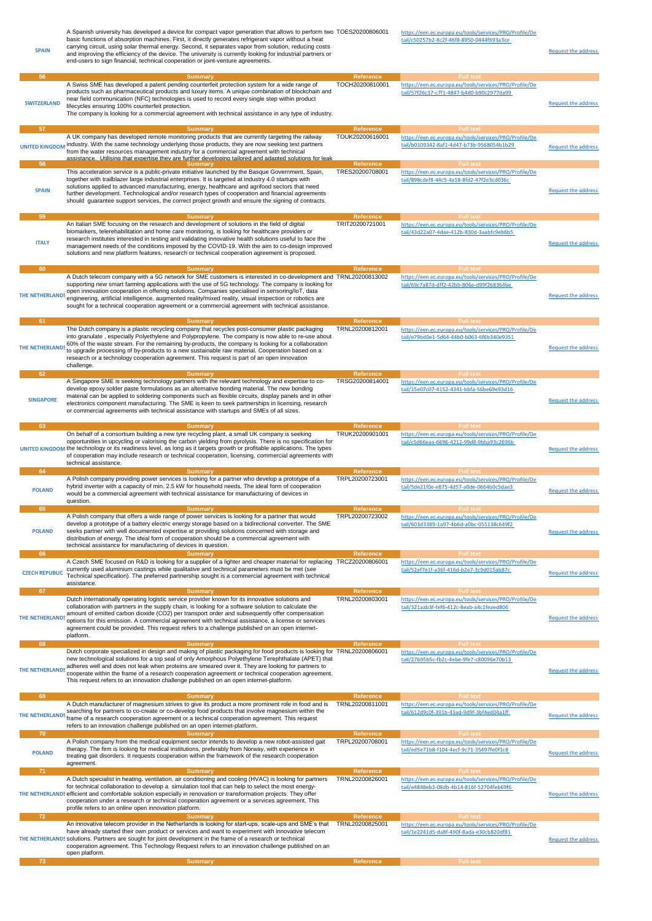| <b>SPAIN</b>                   | A Spanish university has developed a device for compact vapor generation that allows to perform two TOES20200806001<br>basic functions of absorption machines. First, it directly generates refrigerant vapor without a heat<br>carrying circuit, using solar thermal energy. Second, it separates vapor from solution, reducing costs<br>and improving the efficiency of the device. The university is currently looking for industrial partners or<br>end-users to sign financial, technical cooperation or joint-venture agreements.                             |                                                         | https://een.ec.europa.eu/tools/services/PRO/Profile/De<br>tail/c50257b2-8c2f-46f8-8950-0444f693a3ce                                         | <b>Request the address</b> |
|--------------------------------|---------------------------------------------------------------------------------------------------------------------------------------------------------------------------------------------------------------------------------------------------------------------------------------------------------------------------------------------------------------------------------------------------------------------------------------------------------------------------------------------------------------------------------------------------------------------|---------------------------------------------------------|---------------------------------------------------------------------------------------------------------------------------------------------|----------------------------|
| 56<br><b>SWITZERLAND</b><br>57 | <b>Summary</b><br>A Swiss SME has developed a patent pending counterfeit protection system for a wide range of<br>products such as pharmaceutical products and luxury items. A unique combination of blockchain and<br>near field communication (NFC) technologies is used to record every single step within product<br>lifecycles ensuring 100% counterfeit protection.<br>The company is looking for a commercial agreement with technical assistance in any type of industry.<br><b>Summary</b>                                                                 | Reference<br>TOCH20200810001<br>Reference               | <b>Full text</b><br>https://een.ec.europa.eu/tools/services/PRO/Profile/De<br>tail/57f26c37-c7f1-4847-b4d0-b90c2977da99<br><b>Full text</b> | <b>Request the address</b> |
| <b>UNITED KINGDOM</b><br>58    | A UK company has developed remote monitoring products that are currently targeting the railway<br>industry. With the same technology underlying those products, they are now seeking test partners<br>from the water resources management industry for a commercial agreement with technical<br>assistance. Utilising that expertise they are further developing tailored and adapted solutions for leak.                                                                                                                                                           | TOUK20200616001<br><b>Reference</b>                     | https://een.ec.europa.eu/tools/services/PRO/Profile/De<br>tail/b0109342-8af1-4d47-b73b-9568054b1b29<br><b>Full text</b>                     | <b>Request the address</b> |
| <b>SPAIN</b>                   | <b>Summary</b><br>This acceleration service is a public-private initiative launched by the Basque Government, Spain,<br>together with trailblazer large industrial enterprises. It is targeted at industry 4.0 startups with<br>solutions applied to advanced manufacturing, energy, healthcare and agrifood sectors that need<br>further development. Technological and/or research types of cooperation and financial agreements<br>should guarantee support services, the correct project growth and ensure the signing of contracts.                            | TRES20200708001                                         | https://een.ec.europa.eu/tools/services/PRO/Profile/De<br>tail/898cdef8-44c5-4a18-8fd2-47f2e3cd036c                                         | <b>Request the address</b> |
| 59<br><b>ITALY</b>             | <b>Summary</b><br>An Italian SME focusing on the research and development of solutions in the field of digital<br>biomarkers, telerehabilitation and home care monitoring, is looking for healthcare providers or<br>research institutes interested in testing and validating innovative health solutions useful to face the<br>management needs of the conditions imposed by the COVID-19. With the aim to co-design improved<br>solutions and new platform features, research or technical cooperation agreement is proposed.                                     | <b>Reference</b><br>TRIT20200721001                     | <b>Full text</b><br>https://een.ec.europa.eu/tools/services/PRO/Profile/De<br>tail/43d22a07-4dae-412b-830d-3aabfc9eb6b5                     | <b>Request the address</b> |
| 60<br>THE NETHERLANDS<br>61    | <b>Summary</b><br>A Dutch telecom company with a 5G network for SME customers is interested in co-development and TRNL20200813002<br>supporting new smart farming applications with the use of 5G technology. The company is looking for<br>open innovation cooperation in offering solutions. Companies specialised in sensoring/loT, data<br>engineering, artificial intelligence, augmented reality/mixed reality, visual inspection or robotics are<br>sought for a technical cooperation agreement or a commercial agreement with technical assistance.        | <b>Reference</b><br>Reference                           | <b>Full text</b><br>https://een.ec.europa.eu/tools/services/PRO/Profile/De<br>tail/69c7a87d-dff2-42bb-806e-d99f268364be<br><b>Full text</b> | <b>Request the address</b> |
| <b>THE NETHERLANDS</b><br>62   | <b>Summary</b><br>The Dutch company is a plastic recycling company that recycles post-consumer plastic packaging<br>into granulate, especially Polyethylene and Polypropylene. The company is now able to re-use about<br>60% of the waste stream. For the remaining by-products, the company is looking for a collaboration<br>to upgrade processing of by-products to a new sustainable raw material. Cooperation based on a<br>research or a technology cooperation agreement. This request is part of an open innovation<br>challenge.<br><b>Summary</b>        | TRNL20200812001<br><b>Reference</b>                     | https://een.ec.europa.eu/tools/services/PRO/Profile/De<br>tail/e79bd0e1-5d64-44b0-b063-6f6b340e9351<br><b>Full text</b>                     | <b>Request the address</b> |
| <b>SINGAPORE</b>               | A Singapore SME is seeking technology partners with the relevant technology and expertise to co-<br>develop epoxy solder paste formulations as an alternative bonding material. The new bonding<br>material can be applied to soldering components such as flexible circuits, display panels and in other<br>electronics component manufacturing. The SME is keen to seek partnerships in licensing, research<br>or commercial agreements with technical assistance with startups and SMEs of all sizes.                                                            | TRSG20200814001                                         | https://een.ec.europa.eu/tools/services/PRO/Profile/De<br>tail/15e07c07-4152-4341-bbfa-56be69e93d16                                         | <b>Request the address</b> |
| 63                             | <b>Summary</b><br>On behalf of a consortium building a new tyre recycling plant, a small UK company is seeking<br>opportunities in upcycling or valorising the carbon yielding from pyrolysis. There is no specification for<br>UNITED KINGDOM the technology or its readiness level, as long as it targets growth or profitable applications. The types<br>of cooperation may include research or technical cooperation, licensing, commercial agreements with<br>technical assistance.                                                                            | Reference<br>TRUK20200901001                            | <b>Full text</b><br>https://een.ec.europa.eu/tools/services/PRO/Profile/De<br>tail/c5d66eaa-6696-4212-99d8-9bba93c2696b                     | <b>Request the address</b> |
| 64<br><b>POLAND</b>            | <b>Summary</b><br>A Polish company providing power services is looking for a partner who develop a prototype of a<br>hybrid inverter with a capacity of min. 2.5 kW for household needs. The ideal form of cooperation<br>would be a commercial agreement with technical assistance for manufacturing of devices in<br>question.                                                                                                                                                                                                                                    | Reference<br>TRPL20200723001                            | <b>Full text</b><br>https://een.ec.europa.eu/tools/services/PRO/Profile/De<br>tail/5de21f0e-e875-4d57-a0de-0664b0c5dae3                     | <b>Request the address</b> |
| 65                             | <b>Summary</b>                                                                                                                                                                                                                                                                                                                                                                                                                                                                                                                                                      | Reference                                               | <b>Full text</b>                                                                                                                            |                            |
| <b>POLAND</b><br>66            | A Polish company that offers a wide range of power services is looking for a partner that would<br>develop a prototype of a battery electric energy storage based on a bidirectional converter. The SME<br>seeks partner with well documented expertise at providing solutions concerned with storage and<br>distribution of energy. The ideal form of cooperation should be a commercial agreement with<br>technical assistance for manufacturing of devices in question.<br><b>Summary</b>                                                                        | TRPL20200723002<br>Reference                            | https://een.ec.europa.eu/tools/services/PRO/Profile/De<br>tail/603d3389-1a97-4b6d-a0bc-055138c649f2<br><b>Full text</b>                     | <b>Request the address</b> |
| <b>CZECH REPUBLIC</b>          | A Czech SME focused on R&D is looking for a supplier of a lighter and cheaper material for replacing TRCZ20200806001<br>currently used aluminium castings while qualitative and technical parameters must be met (see<br>Technical specification). The preferred partnership sought is a commercial agreement with technical<br>assistance.                                                                                                                                                                                                                         | Reference                                               | https://een.ec.europa.eu/tools/services/PRO/Profile/De<br>tail/52ef7e1f-a36f-416d-b2e7-3c9d015ab87c<br><b>Full text</b>                     | <b>Request the address</b> |
| 67<br>THE NETHERLANDS<br>68    | <b>Summary</b><br>Dutch internationally operating logistic service provider known for its innovative solutions and<br>collaboration with partners in the supply chain, is looking for a software solution to calculate the<br>amount of emitted carbon dioxide (CO2) per transport order and subsequently offer compensation<br>options for this emission. A commercial agreement with technical assistance, a license or services<br>agreement could be provided. This request refers to a challenge published on an open internet-<br>platform.<br><b>Summary</b> | TRNL20200803001<br><b>Reference</b>                     | https://een.ec.europa.eu/tools/services/PRO/Profile/De<br>tail/321aab3f-fef6-412c-8eab-a4c1feaed806<br><b>Full text</b>                     | <b>Request the address</b> |
| THE NETHERLANDS                | Dutch corporate specialized in design and making of plastic packaging for food products is looking for TRNL20200806001<br>new technological solutions for a top seal of only Amorphous Polyethylene Terephthalate (APET) that<br>adheres well and does not leak when proteins are smeared over it. They are looking for partners to<br>cooperate within the frame of a research cooperation agreement or technical cooperation agreement.<br>This request refers to an innovation challenge published on an open internet-platform.                                 |                                                         | https://een.ec.europa.eu/tools/services/PRO/Profile/De<br>tail/27b95b5c-fb2c-4ebe-9fe7-c80096e70b13                                         | <b>Request the address</b> |
| 69<br>THE NETHERLANDS          | <b>Summary</b><br>A Dutch manufacturer of magnesium strives to give its product a more prominent role in food and is<br>searching for partners to co-create or co-develop food products that involve magnesium within the<br>frame of a research cooperation agreement or a technical cooperation agreement. This request<br>refers to an innovation challenge published on an open internet-platform.                                                                                                                                                              | Reference<br>TRNL20200811001                            | <b>Full text</b><br>https://een.ec.europa.eu/tools/services/PRO/Profile/De<br>tail/612d9c0f-391b-43ad-9d9f-3bf4ed04a1ff                     | <b>Request the address</b> |
| 70<br><b>POLAND</b><br>71      | <b>Summary</b><br>A Polish company from the medical equipment sector intends to develop a new robot-assisted gait<br>therapy. The firm is looking for medical institutions, preferably from Norway, with experience in<br>treating gait disorders. It requests cooperation within the framework of the research cooperation<br>agreement.<br><b>Summary</b>                                                                                                                                                                                                         | <b>Reference</b><br>TRPL20200708001<br><b>Reference</b> | <b>Full text</b><br>https://een.ec.europa.eu/tools/services/PRO/Profile/De<br>tail/ed5e71b8-f104-4ecf-9c71-35497fe0f1c8<br><b>Full text</b> | <b>Request the address</b> |
|                                | A Dutch specialist in heating, ventilation, air conditioning and cooling (HVAC) is looking for partners<br>for technical collaboration to develop a simulation tool that can help to select the most energy-<br>THE NETHERLANDS efficient and comfortable solution especially in renovation or transformation projects. They offer<br>cooperation under a research or technical cooperation agreement or a services agreement. This<br>profile refers to an online open innovation platform.                                                                        | TRNL20200826001                                         | https://een.ec.europa.eu/tools/services/PRO/Profile/De<br>tail/e4848eb3-08db-4b14-816f-52704feb69f6                                         | <b>Request the address</b> |
| 72                             | <b>Summary</b><br>An innovative telecom provider in the Netherlands is looking for start-ups, scale-ups and SME's that TRNL20200825001<br>have already started their own product or services and want to experiment with innovative telecom<br>THE NETHERLANDS solutions. Partners are sought for joint development in the frame of a research or technical<br>cooperation agreement. This Technology Request refers to an innovation challenge published on an<br>open platform.                                                                                   | Reference                                               | <b>Full text</b><br>https://een.ec.europa.eu/tools/services/PRO/Profile/De<br>tail/1e2241d5-da8f-490f-8ada-e30cb820df81                     | <b>Request the address</b> |
| 73                             | <b>Summary</b>                                                                                                                                                                                                                                                                                                                                                                                                                                                                                                                                                      | Reference                                               | <b>Full text</b>                                                                                                                            |                            |